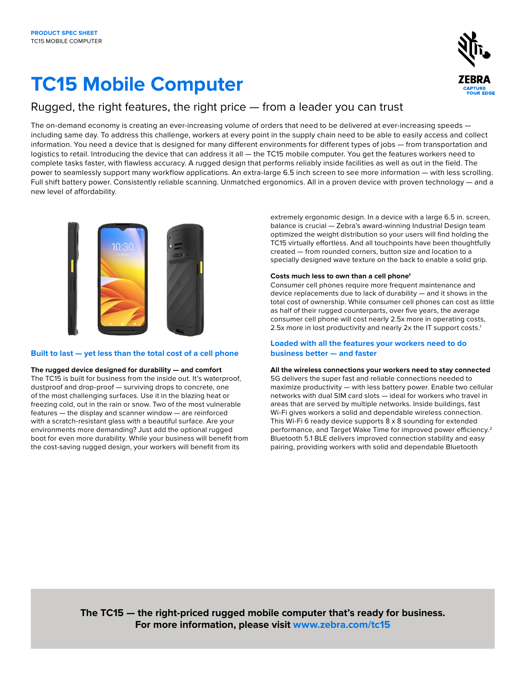# **TC15 Mobile Computer**



### Rugged, the right features, the right price — from a leader you can trust

The on-demand economy is creating an ever-increasing volume of orders that need to be delivered at ever-increasing speeds including same day. To address this challenge, workers at every point in the supply chain need to be able to easily access and collect information. You need a device that is designed for many different environments for different types of jobs — from transportation and logistics to retail. Introducing the device that can address it all — the TC15 mobile computer. You get the features workers need to complete tasks faster, with flawless accuracy. A rugged design that performs reliably inside facilities as well as out in the field. The power to seamlessly support many workflow applications. An extra-large 6.5 inch screen to see more information — with less scrolling. Full shift battery power. Consistently reliable scanning. Unmatched ergonomics. All in a proven device with proven technology — and a new level of affordability.



#### **Built to last — yet less than the total cost of a cell phone**

#### **The rugged device designed for durability — and comfort**

The TC15 is built for business from the inside out. It's waterproof, dustproof and drop-proof — surviving drops to concrete, one of the most challenging surfaces. Use it in the blazing heat or freezing cold, out in the rain or snow. Two of the most vulnerable features — the display and scanner window — are reinforced with a scratch-resistant glass with a beautiful surface. Are your environments more demanding? Just add the optional rugged boot for even more durability. While your business will benefit from the cost-saving rugged design, your workers will benefit from its

extremely ergonomic design. In a device with a large 6.5 in. screen, balance is crucial — Zebra's award-winning Industrial Design team optimized the weight distribution so your users will find holding the TC15 virtually effortless. And all touchpoints have been thoughtfully created — from rounded corners, button size and location to a specially designed wave texture on the back to enable a solid grip.

#### **Costs much less to own than a cell phone1**

Consumer cell phones require more frequent maintenance and device replacements due to lack of durability — and it shows in the total cost of ownership. While consumer cell phones can cost as little as half of their rugged counterparts, over five years, the average consumer cell phone will cost nearly 2.5x more in operating costs, 2.5x more in lost productivity and nearly 2x the IT support costs.<sup>1</sup>

#### **Loaded with all the features your workers need to do business better — and faster**

#### **All the wireless connections your workers need to stay connected**

5G delivers the super fast and reliable connections needed to maximize productivity — with less battery power. Enable two cellular networks with dual SIM card slots — ideal for workers who travel in areas that are served by multiple networks. Inside buildings, fast Wi-Fi gives workers a solid and dependable wireless connection. This Wi-Fi 6 ready device supports 8 x 8 sounding for extended performance, and Target Wake Time for improved power efficiency.2 Bluetooth 5.1 BLE delivers improved connection stability and easy pairing, providing workers with solid and dependable Bluetooth

**The TC15 — the right-priced rugged mobile computer that's ready for business. For more information, please visit [www.zebra.com/](http://www.zebra.com/tc15)tc15**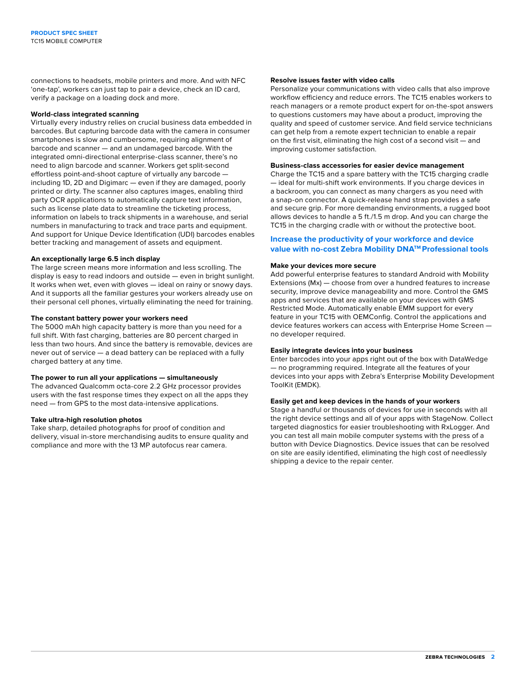connections to headsets, mobile printers and more. And with NFC 'one-tap', workers can just tap to pair a device, check an ID card, verify a package on a loading dock and more.

#### **World-class integrated scanning**

Virtually every industry relies on crucial business data embedded in barcodes. But capturing barcode data with the camera in consumer smartphones is slow and cumbersome, requiring alignment of barcode and scanner — and an undamaged barcode. With the integrated omni-directional enterprise-class scanner, there's no need to align barcode and scanner. Workers get split-second effortless point-and-shoot capture of virtually any barcode including 1D, 2D and Digimarc — even if they are damaged, poorly printed or dirty. The scanner also captures images, enabling third party OCR applications to automatically capture text information, such as license plate data to streamline the ticketing process, information on labels to track shipments in a warehouse, and serial numbers in manufacturing to track and trace parts and equipment. And support for Unique Device Identification (UDI) barcodes enables better tracking and management of assets and equipment.

#### **An exceptionally large 6.5 inch display**

The large screen means more information and less scrolling. The display is easy to read indoors and outside — even in bright sunlight. It works when wet, even with gloves — ideal on rainy or snowy days. And it supports all the familiar gestures your workers already use on their personal cell phones, virtually eliminating the need for training.

#### **The constant battery power your workers need**

The 5000 mAh high capacity battery is more than you need for a full shift. With fast charging, batteries are 80 percent charged in less than two hours. And since the battery is removable, devices are never out of service — a dead battery can be replaced with a fully charged battery at any time.

#### **The power to run all your applications — simultaneously**

The advanced Qualcomm octa-core 2.2 GHz processor provides users with the fast response times they expect on all the apps they need — from GPS to the most data-intensive applications.

#### **Take ultra-high resolution photos**

Take sharp, detailed photographs for proof of condition and delivery, visual in-store merchandising audits to ensure quality and compliance and more with the 13 MP autofocus rear camera.

#### **Resolve issues faster with video calls**

Personalize your communications with video calls that also improve workflow efficiency and reduce errors. The TC15 enables workers to reach managers or a remote product expert for on-the-spot answers to questions customers may have about a product, improving the quality and speed of customer service. And field service technicians can get help from a remote expert technician to enable a repair on the first visit, eliminating the high cost of a second visit — and improving customer satisfaction.

#### **Business-class accessories for easier device management**

Charge the TC15 and a spare battery with the TC15 charging cradle — ideal for multi-shift work environments. If you charge devices in a backroom, you can connect as many chargers as you need with a snap-on connector. A quick-release hand strap provides a safe and secure grip. For more demanding environments, a rugged boot allows devices to handle a 5 ft./1.5 m drop. And you can charge the TC15 in the charging cradle with or without the protective boot.

#### **Increase the productivity of your workforce and device value with no-cost Zebra Mobility DNATM Professional tools**

#### **Make your devices more secure**

Add powerful enterprise features to standard Android with Mobility Extensions (Mx) — choose from over a hundred features to increase security, improve device manageability and more. Control the GMS apps and services that are available on your devices with GMS Restricted Mode. Automatically enable EMM support for every feature in your TC15 with OEMConfig. Control the applications and device features workers can access with Enterprise Home Screen no developer required.

#### **Easily integrate devices into your business**

Enter barcodes into your apps right out of the box with DataWedge — no programming required. Integrate all the features of your devices into your apps with Zebra's Enterprise Mobility Development ToolKit (EMDK).

#### **Easily get and keep devices in the hands of your workers**

Stage a handful or thousands of devices for use in seconds with all the right device settings and all of your apps with StageNow. Collect targeted diagnostics for easier troubleshooting with RxLogger. And you can test all main mobile computer systems with the press of a button with Device Diagnostics. Device issues that can be resolved on site are easily identified, eliminating the high cost of needlessly shipping a device to the repair center.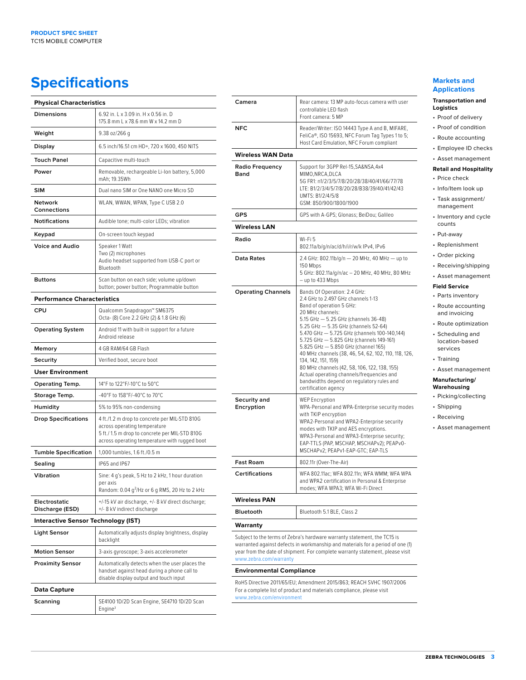# **Specifications Markets and** <br> **Specifications**

| <b>Physical Characteristics</b>            |                                                                                                                                                                                 |
|--------------------------------------------|---------------------------------------------------------------------------------------------------------------------------------------------------------------------------------|
| <b>Dimensions</b>                          | 6.92 in. L x 3.09 in. H x 0.56 in. D<br>175.8 mm L x 78.6 mm W x 14.2 mm D                                                                                                      |
| Weight                                     | 9.38 oz/266 g                                                                                                                                                                   |
| Display                                    | 6.5 inch/16.51 cm HD+, 720 x 1600, 450 NITS                                                                                                                                     |
| <b>Touch Panel</b>                         | Capacitive multi-touch                                                                                                                                                          |
| Power                                      | Removable, rechargeable Li-Ion battery, 5,000<br>mAh; 19.35Wh                                                                                                                   |
| <b>SIM</b>                                 | Dual nano SIM or One NANO one Micro SD                                                                                                                                          |
| Network<br><b>Connections</b>              | WLAN, WWAN, WPAN, Type C USB 2.0                                                                                                                                                |
| <b>Notifications</b>                       | Audible tone; multi-color LEDs; vibration                                                                                                                                       |
| Keypad                                     | On-screen touch keypad                                                                                                                                                          |
| <b>Voice and Audio</b>                     | Speaker 1 Watt<br>Two (2) microphones<br>Audio headset supported from USB-C port or<br>Bluetooth                                                                                |
| <b>Buttons</b>                             | Scan button on each side; volume up/down<br>button; power button; Programmable button                                                                                           |
| <b>Performance Characteristics</b>         |                                                                                                                                                                                 |
| CPU                                        | Qualcomm Snapdragon™ SM6375<br>Octa- (8) Core 2.2 GHz (2) & 1.8 GHz (6)                                                                                                         |
| <b>Operating System</b>                    | Android 11 with built-in support for a future<br>Android release                                                                                                                |
| Memory                                     | 4 GB RAM/64 GB Flash                                                                                                                                                            |
| Security                                   | Verified boot, secure boot                                                                                                                                                      |
| <b>User Environment</b>                    |                                                                                                                                                                                 |
| <b>Operating Temp.</b>                     | 14°F to 122°F/-10°C to 50°C                                                                                                                                                     |
| Storage Temp.                              | -40°F to 158°F/-40°C to 70°C                                                                                                                                                    |
| Humidity                                   | 5% to 95% non-condensing                                                                                                                                                        |
| <b>Drop Specifications</b>                 | 4 ft./1.2 m drop to concrete per MIL-STD 810G<br>across operating temperature<br>5 ft./1.5 m drop to concrete per MIL-STD 810G<br>across operating temperature with rugged boot |
| <b>Tumble Specification</b>                | 1,000 tumbles, 1.6 ft./0.5 m                                                                                                                                                    |
| Sealing                                    | IP65 and IP67                                                                                                                                                                   |
| Vibration                                  | Sine: 4 g's peak, 5 Hz to 2 kHz, 1 hour duration<br>per axis<br>Random: $0.04$ g <sup>2</sup> /Hz or 6 g RMS, 20 Hz to 2 kHz                                                    |
| Electrostatic<br>Discharge (ESD)           | +/-15 kV air discharge, +/- 8 kV direct discharge;<br>+/- 8 kV indirect discharge                                                                                               |
| <b>Interactive Sensor Technology (IST)</b> |                                                                                                                                                                                 |
| Light Sensor                               | Automatically adjusts display brightness, display<br>backlight                                                                                                                  |
| <b>Motion Sensor</b>                       | 3-axis gyroscope; 3-axis accelerometer                                                                                                                                          |
| <b>Proximity Sensor</b>                    | Automatically detects when the user places the<br>handset against head during a phone call to<br>disable display output and touch input                                         |
| <b>Data Capture</b>                        |                                                                                                                                                                                 |
| Scanning                                   | SE4100 1D/2D Scan Engine, SE4710 1D/2D Scan<br>Engine <sup>3</sup>                                                                                                              |

| Camera                          | Rear camera: 13 MP auto-focus camera with user<br>controllable LED flash<br>Front camera: 5 MP                                                                                                                                                                                                                                                                                                                                                                                                                                                                                         |
|---------------------------------|----------------------------------------------------------------------------------------------------------------------------------------------------------------------------------------------------------------------------------------------------------------------------------------------------------------------------------------------------------------------------------------------------------------------------------------------------------------------------------------------------------------------------------------------------------------------------------------|
| <b>NFC</b>                      | Reader/Writer: ISO 14443 Type A and B, MIFARE,<br>FeliCa®, ISO 15693, NFC Forum Tag Types 1 to 5;<br>Host Card Emulation, NFC Forum compliant                                                                                                                                                                                                                                                                                                                                                                                                                                          |
| <b>Wireless WAN Data</b>        |                                                                                                                                                                                                                                                                                                                                                                                                                                                                                                                                                                                        |
| Radio Frequency<br>Band         | Support for 3GPP Rel-15, SA&NSA, 4x4<br>MIMO, NRCA, DLCA<br>5G FR1: n1/2/3/5/7/8/20/28/38/40/41/66/77/78<br>LTE: B1/2/3/4/5/7/8/20/28/B38/39/40/41/42/43<br>UMTS: B1/2/4/5/8<br>GSM: 850/900/1800/1900                                                                                                                                                                                                                                                                                                                                                                                 |
| <b>GPS</b>                      | GPS with A-GPS; Glonass; BeiDou; Galileo                                                                                                                                                                                                                                                                                                                                                                                                                                                                                                                                               |
| <b>Wireless LAN</b>             |                                                                                                                                                                                                                                                                                                                                                                                                                                                                                                                                                                                        |
| Radio                           | Wi-Fi 5<br>802.11a/b/g/n/ac/d/h/i/r/w/k IPv4, IPv6                                                                                                                                                                                                                                                                                                                                                                                                                                                                                                                                     |
| Data Rates                      | 2.4 GHz: 802.11b/g/n - 20 MHz, 40 MHz - up to<br>150 Mbps<br>5 GHz: 802.11a/g/n/ac - 20 MHz, 40 MHz, 80 MHz<br>- up to 433 Mbps                                                                                                                                                                                                                                                                                                                                                                                                                                                        |
| <b>Operating Channels</b>       | Bands Of Operation: 2.4 GHz:<br>2.4 GHz to 2.497 GHz channels 1-13<br>Band of operation 5 GHz:<br>20 MHz channels:<br>5.15 GHz - 5.25 GHz (channels 36-48)<br>5.25 GHz - 5.35 GHz (channels 52-64)<br>5.470 GHz - 5.725 GHz (channels 100-140,144)<br>5.725 GHz - 5.825 GHz (channels 149-161)<br>5.825 GHz - 5.850 GHz (channel 165)<br>40 MHz channels (38, 46, 54, 62, 102, 110, 118, 126,<br>134, 142, 151, 159)<br>80 MHz channels (42, 58, 106, 122, 138, 155)<br>Actual operating channels/frequencies and<br>bandwidths depend on regulatory rules and<br>certification agency |
| Security and<br>Encryption      | <b>WEP Encryption</b><br>WPA-Personal and WPA-Enterprise security modes<br>with TKIP encryption<br>WPA2-Personal and WPA2-Enterprise security<br>modes with TKIP and AES encryptions.<br>WPA3-Personal and WPA3-Enterprise security;<br>EAP-TTLS (PAP, MSCHAP, MSCHAPv2); PEAPv0-<br>MSCHAPv2; PEAPv1-EAP-GTC; EAP-TLS                                                                                                                                                                                                                                                                 |
| Fast Roam                       | 802.11r (Over-The-Air)                                                                                                                                                                                                                                                                                                                                                                                                                                                                                                                                                                 |
| Certifications                  | WFA 802.11ac; WFA 802.11n; WFA WMM; WFA WPA<br>and WPA2 certification in Personal & Enterprise<br>modes; WFA WPA3; WFA Wi-Fi Direct                                                                                                                                                                                                                                                                                                                                                                                                                                                    |
| <b>Wireless PAN</b>             |                                                                                                                                                                                                                                                                                                                                                                                                                                                                                                                                                                                        |
| Bluetooth                       | Bluetooth 5.1 BLE, Class 2                                                                                                                                                                                                                                                                                                                                                                                                                                                                                                                                                             |
| Warranty                        |                                                                                                                                                                                                                                                                                                                                                                                                                                                                                                                                                                                        |
| www.zebra.com/warranty          | Subject to the terms of Zebra's hardware warranty statement, the TC15 is<br>warranted against defects in workmanship and materials for a period of one (1)<br>year from the date of shipment. For complete warranty statement, please visit                                                                                                                                                                                                                                                                                                                                            |
| <b>Environmental Compliance</b> |                                                                                                                                                                                                                                                                                                                                                                                                                                                                                                                                                                                        |

RoHS Directive 2011/65/EU; Amendment 2015/863; REACH SVHC 1907/2006 For a complete list of product and materials compliance, please visit [www.zebra.com/environment](http://www.zebra.com/environment)

# **Applications**

#### **Transportation and Logistics**

- Proof of delivery
- Proof of condition
- Route accounting
- Employee ID checks
- Asset management **Retail and Hospitality**
- Price check
- Info/Item look up
- Task assignment/ management
- Inventory and cycle counts
- Put-away
- Replenishment
- Order picking
- Receiving/shipping
	- Asset management

### **Field Service**

- Parts inventory Route accounting and invoicing
- Route optimization
- Scheduling and
- location-based services
- Training
- Asset management

#### **Manufacturing/ Warehousing**

- Picking/collecting
- **Shipping**
- **Receiving**
- Asset management